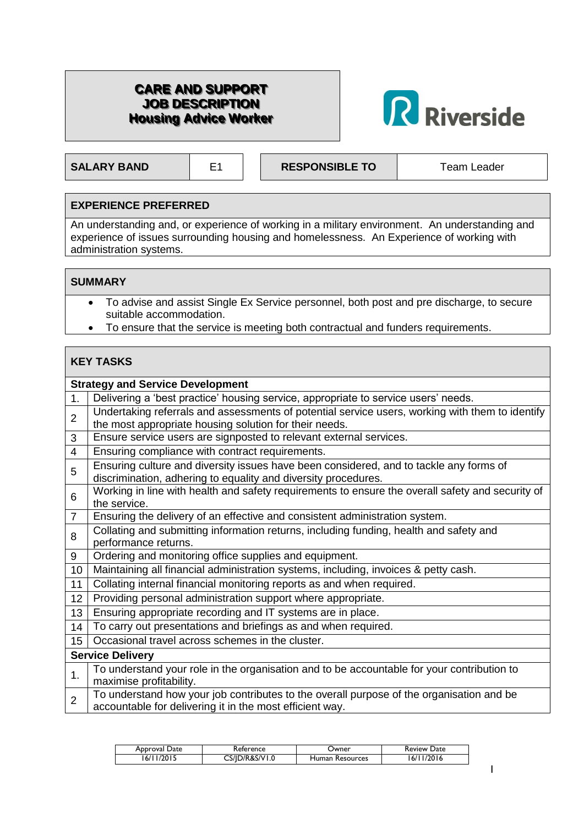# **CARE AND SUPPORT JOB DESCRIPTION Housing Advice Worker**



**SALARY BAND** E1 **RESPONSIBLE TO** Team Leader

1

### **EXPERIENCE PREFERRED**

An understanding and, or experience of working in a military environment. An understanding and experience of issues surrounding housing and homelessness. An Experience of working with administration systems.

#### **SUMMARY**

- To advise and assist Single Ex Service personnel, both post and pre discharge, to secure suitable accommodation.
- To ensure that the service is meeting both contractual and funders requirements.

#### **KEY TASKS Strategy and Service Development** 1. Delivering a 'best practice' housing service, appropriate to service users' needs.  $\overline{2}$ Undertaking referrals and assessments of potential service users, working with them to identify the most appropriate housing solution for their needs. 3 Ensure service users are signposted to relevant external services. 4 | Ensuring compliance with contract requirements. 5 Ensuring culture and diversity issues have been considered, and to tackle any forms of discrimination, adhering to equality and diversity procedures. 6 Working in line with health and safety requirements to ensure the overall safety and security of the service. 7 Ensuring the delivery of an effective and consistent administration system. 8 Collating and submitting information returns, including funding, health and safety and performance returns. 9 | Ordering and monitoring office supplies and equipment. 10 Maintaining all financial administration systems, including, invoices & petty cash. 11 Collating internal financial monitoring reports as and when required. 12 Providing personal administration support where appropriate. 13 | Ensuring appropriate recording and IT systems are in place. 14 To carry out presentations and briefings as and when required. 15 Occasional travel across schemes in the cluster. **Service Delivery** 1. To understand your role in the organisation and to be accountable for your contribution to maximise profitability. 2 To understand how your job contributes to the overall purpose of the organisation and be accountable for delivering it in the most efficient way.

| Approval Date | Keference  | Jwner            | Date<br><b>Review</b> |
|---------------|------------|------------------|-----------------------|
| /2015         | ን/R&S/V1.0 | <b>Resources</b> | 2016                  |
| ' /6،         | CS/ID/     | Human            | 6/                    |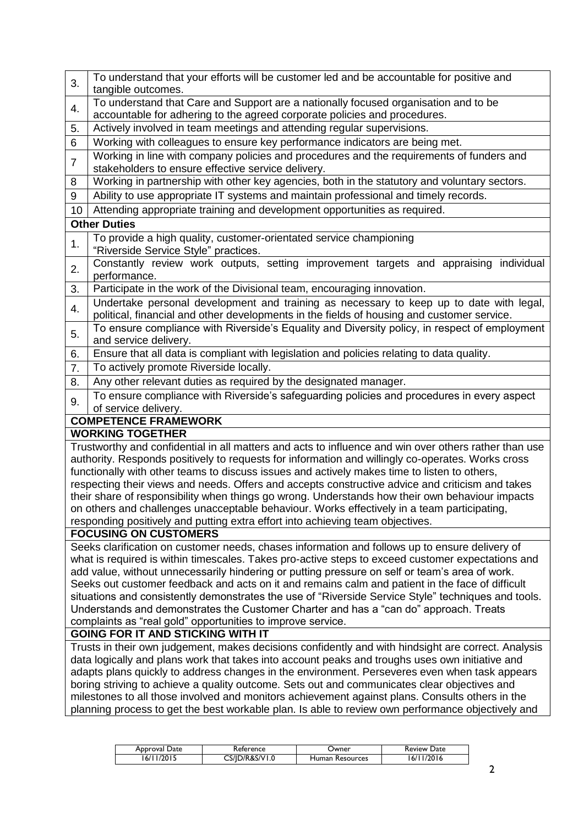| 3.                                                                                                                                                                                                 | To understand that your efforts will be customer led and be accountable for positive and<br>tangible outcomes.                                                                        |  |  |  |  |
|----------------------------------------------------------------------------------------------------------------------------------------------------------------------------------------------------|---------------------------------------------------------------------------------------------------------------------------------------------------------------------------------------|--|--|--|--|
| 4.                                                                                                                                                                                                 | To understand that Care and Support are a nationally focused organisation and to be                                                                                                   |  |  |  |  |
| 5.                                                                                                                                                                                                 | accountable for adhering to the agreed corporate policies and procedures.<br>Actively involved in team meetings and attending regular supervisions.                                   |  |  |  |  |
|                                                                                                                                                                                                    | Working with colleagues to ensure key performance indicators are being met.                                                                                                           |  |  |  |  |
| 6                                                                                                                                                                                                  |                                                                                                                                                                                       |  |  |  |  |
| $\overline{7}$                                                                                                                                                                                     | Working in line with company policies and procedures and the requirements of funders and<br>stakeholders to ensure effective service delivery.                                        |  |  |  |  |
| 8                                                                                                                                                                                                  | Working in partnership with other key agencies, both in the statutory and voluntary sectors.                                                                                          |  |  |  |  |
| 9                                                                                                                                                                                                  | Ability to use appropriate IT systems and maintain professional and timely records.                                                                                                   |  |  |  |  |
| 10                                                                                                                                                                                                 | Attending appropriate training and development opportunities as required.                                                                                                             |  |  |  |  |
|                                                                                                                                                                                                    | <b>Other Duties</b>                                                                                                                                                                   |  |  |  |  |
| 1.                                                                                                                                                                                                 | To provide a high quality, customer-orientated service championing<br>"Riverside Service Style" practices.                                                                            |  |  |  |  |
|                                                                                                                                                                                                    | Constantly review work outputs, setting improvement targets and appraising individual                                                                                                 |  |  |  |  |
| 2.                                                                                                                                                                                                 | performance.                                                                                                                                                                          |  |  |  |  |
| 3.                                                                                                                                                                                                 | Participate in the work of the Divisional team, encouraging innovation.                                                                                                               |  |  |  |  |
| 4.                                                                                                                                                                                                 | Undertake personal development and training as necessary to keep up to date with legal,<br>political, financial and other developments in the fields of housing and customer service. |  |  |  |  |
|                                                                                                                                                                                                    | To ensure compliance with Riverside's Equality and Diversity policy, in respect of employment                                                                                         |  |  |  |  |
| 5.                                                                                                                                                                                                 | and service delivery.                                                                                                                                                                 |  |  |  |  |
| 6.                                                                                                                                                                                                 | Ensure that all data is compliant with legislation and policies relating to data quality.                                                                                             |  |  |  |  |
| 7.                                                                                                                                                                                                 | To actively promote Riverside locally.                                                                                                                                                |  |  |  |  |
| 8.                                                                                                                                                                                                 | Any other relevant duties as required by the designated manager.                                                                                                                      |  |  |  |  |
|                                                                                                                                                                                                    | To ensure compliance with Riverside's safeguarding policies and procedures in every aspect                                                                                            |  |  |  |  |
| 9.                                                                                                                                                                                                 | of service delivery.                                                                                                                                                                  |  |  |  |  |
|                                                                                                                                                                                                    | <b>COMPETENCE FRAMEWORK</b>                                                                                                                                                           |  |  |  |  |
|                                                                                                                                                                                                    | <b>WORKING TOGETHER</b>                                                                                                                                                               |  |  |  |  |
|                                                                                                                                                                                                    | Trustworthy and confidential in all matters and acts to influence and win over others rather than use                                                                                 |  |  |  |  |
|                                                                                                                                                                                                    | authority. Responds positively to requests for information and willingly co-operates. Works cross                                                                                     |  |  |  |  |
|                                                                                                                                                                                                    | functionally with other teams to discuss issues and actively makes time to listen to others,                                                                                          |  |  |  |  |
|                                                                                                                                                                                                    | respecting their views and needs. Offers and accepts constructive advice and criticism and takes                                                                                      |  |  |  |  |
| their share of responsibility when things go wrong. Understands how their own behaviour impacts                                                                                                    |                                                                                                                                                                                       |  |  |  |  |
|                                                                                                                                                                                                    | on others and challenges unacceptable behaviour. Works effectively in a team participating,                                                                                           |  |  |  |  |
| responding positively and putting extra effort into achieving team objectives.                                                                                                                     |                                                                                                                                                                                       |  |  |  |  |
| <b>FOCUSING ON CUSTOMERS</b>                                                                                                                                                                       |                                                                                                                                                                                       |  |  |  |  |
| Seeks clarification on customer needs, chases information and follows up to ensure delivery of                                                                                                     |                                                                                                                                                                                       |  |  |  |  |
| what is required is within timescales. Takes pro-active steps to exceed customer expectations and                                                                                                  |                                                                                                                                                                                       |  |  |  |  |
| add value, without unnecessarily hindering or putting pressure on self or team's area of work.<br>Seeks out customer feedback and acts on it and remains calm and patient in the face of difficult |                                                                                                                                                                                       |  |  |  |  |
| situations and consistently demonstrates the use of "Riverside Service Style" techniques and tools.                                                                                                |                                                                                                                                                                                       |  |  |  |  |
| Understands and demonstrates the Customer Charter and has a "can do" approach. Treats                                                                                                              |                                                                                                                                                                                       |  |  |  |  |
| complaints as "real gold" opportunities to improve service.                                                                                                                                        |                                                                                                                                                                                       |  |  |  |  |
| <b>GOING FOR IT AND STICKING WITH IT</b>                                                                                                                                                           |                                                                                                                                                                                       |  |  |  |  |
|                                                                                                                                                                                                    | Trusts in their own judgement, makes decisions confidently and with hindsight are correct. Analysis                                                                                   |  |  |  |  |
|                                                                                                                                                                                                    | data logically and plans work that takes into account peaks and troughs uses own initiative and                                                                                       |  |  |  |  |
|                                                                                                                                                                                                    | adapts plans quickly to address changes in the environment. Perseveres even when task appears                                                                                         |  |  |  |  |
|                                                                                                                                                                                                    | boring striving to achieve a quality outcome. Sets out and communicates clear objectives and                                                                                          |  |  |  |  |
|                                                                                                                                                                                                    | milestones to all those involved and monitors achievement against plans. Consults others in the                                                                                       |  |  |  |  |
|                                                                                                                                                                                                    | planning process to get the best workable plan. Is able to review own performance objectively and                                                                                     |  |  |  |  |
|                                                                                                                                                                                                    |                                                                                                                                                                                       |  |  |  |  |

| Date<br>Approval | Keference | Jwner            | Review<br>Date |
|------------------|-----------|------------------|----------------|
| וחרו             | )/R&S/V   | Human            | 6/             |
| 61               | ۱۰''د۔    | <b>Resources</b> | 16             |